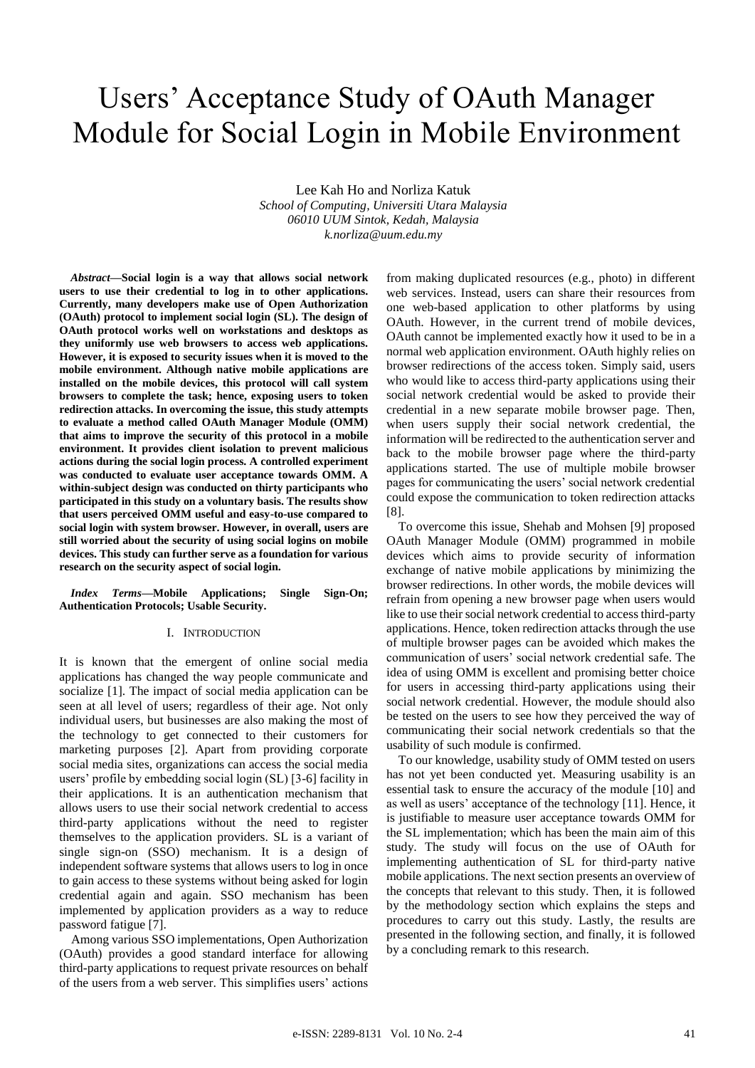# Users' Acceptance Study of OAuth Manager Module for Social Login in Mobile Environment

Lee Kah Ho and Norliza Katuk *School of Computing, Universiti Utara Malaysia 06010 UUM Sintok, Kedah, Malaysia k.norliza@uum.edu.my*

*Abstract***—Social login is a way that allows social network users to use their credential to log in to other applications. Currently, many developers make use of Open Authorization (OAuth) protocol to implement social login (SL). The design of OAuth protocol works well on workstations and desktops as they uniformly use web browsers to access web applications. However, it is exposed to security issues when it is moved to the mobile environment. Although native mobile applications are installed on the mobile devices, this protocol will call system browsers to complete the task; hence, exposing users to token redirection attacks. In overcoming the issue, this study attempts to evaluate a method called OAuth Manager Module (OMM) that aims to improve the security of this protocol in a mobile environment. It provides client isolation to prevent malicious actions during the social login process. A controlled experiment was conducted to evaluate user acceptance towards OMM. A within-subject design was conducted on thirty participants who participated in this study on a voluntary basis. The results show that users perceived OMM useful and easy-to-use compared to social login with system browser. However, in overall, users are still worried about the security of using social logins on mobile devices. This study can further serve as a foundation for various research on the security aspect of social login.**

*Index Terms***—Mobile Applications; Single Sign-On; Authentication Protocols; Usable Security.**

## I. INTRODUCTION

It is known that the emergent of online social media applications has changed the way people communicate and socialize [1]. The impact of social media application can be seen at all level of users; regardless of their age. Not only individual users, but businesses are also making the most of the technology to get connected to their customers for marketing purposes [2]. Apart from providing corporate social media sites, organizations can access the social media users' profile by embedding social login (SL) [3-6] facility in their applications. It is an authentication mechanism that allows users to use their social network credential to access third-party applications without the need to register themselves to the application providers. SL is a variant of single sign-on (SSO) mechanism. It is a design of independent software systems that allows users to log in once to gain access to these systems without being asked for login credential again and again. SSO mechanism has been implemented by application providers as a way to reduce password fatigue [7].

Among various SSO implementations, Open Authorization (OAuth) provides a good standard interface for allowing third-party applications to request private resources on behalf of the users from a web server. This simplifies users' actions from making duplicated resources (e.g., photo) in different web services. Instead, users can share their resources from one web-based application to other platforms by using OAuth. However, in the current trend of mobile devices, OAuth cannot be implemented exactly how it used to be in a normal web application environment. OAuth highly relies on browser redirections of the access token. Simply said, users who would like to access third-party applications using their social network credential would be asked to provide their credential in a new separate mobile browser page. Then, when users supply their social network credential, the information will be redirected to the authentication server and back to the mobile browser page where the third-party applications started. The use of multiple mobile browser pages for communicating the users' social network credential could expose the communication to token redirection attacks [8].

To overcome this issue, Shehab and Mohsen [9] proposed OAuth Manager Module (OMM) programmed in mobile devices which aims to provide security of information exchange of native mobile applications by minimizing the browser redirections. In other words, the mobile devices will refrain from opening a new browser page when users would like to use their social network credential to access third-party applications. Hence, token redirection attacks through the use of multiple browser pages can be avoided which makes the communication of users' social network credential safe. The idea of using OMM is excellent and promising better choice for users in accessing third-party applications using their social network credential. However, the module should also be tested on the users to see how they perceived the way of communicating their social network credentials so that the usability of such module is confirmed.

To our knowledge, usability study of OMM tested on users has not yet been conducted yet. Measuring usability is an essential task to ensure the accuracy of the module [10] and as well as users' acceptance of the technology [11]. Hence, it is justifiable to measure user acceptance towards OMM for the SL implementation; which has been the main aim of this study. The study will focus on the use of OAuth for implementing authentication of SL for third-party native mobile applications. The next section presents an overview of the concepts that relevant to this study. Then, it is followed by the methodology section which explains the steps and procedures to carry out this study. Lastly, the results are presented in the following section, and finally, it is followed by a concluding remark to this research.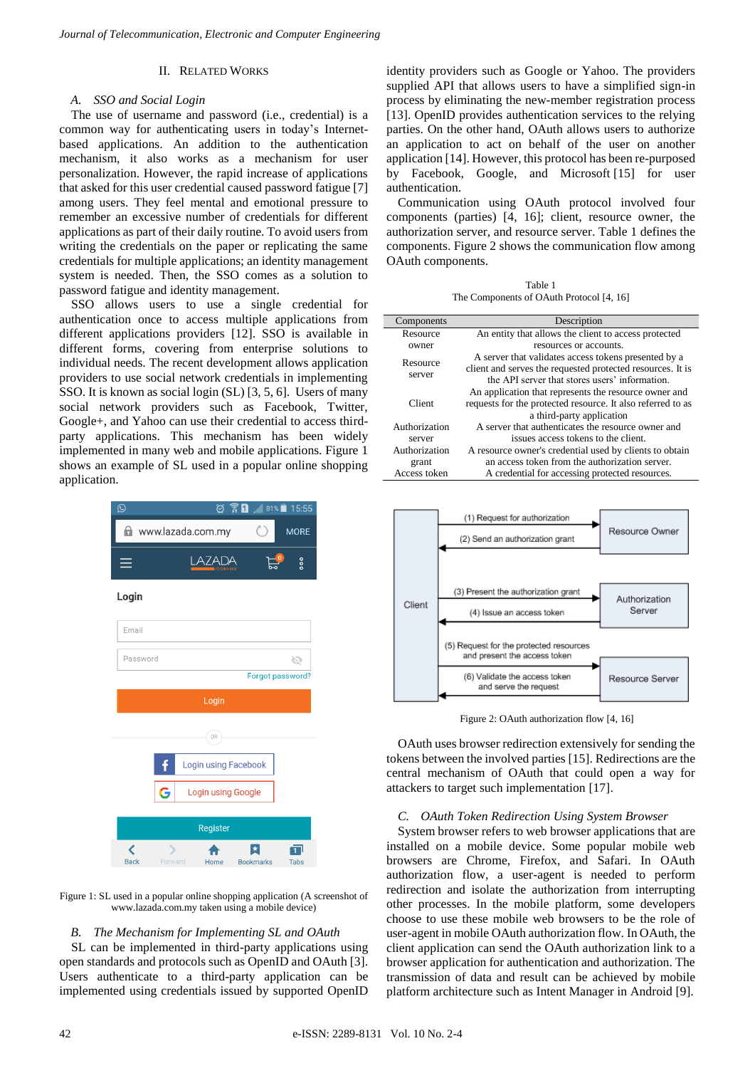## II. RELATED WORKS

## *A. SSO and Social Login*

The use of username and password (i.e., credential) is a common way for authenticating users in today's Internetbased applications. An addition to the authentication mechanism, it also works as a mechanism for user personalization. However, the rapid increase of applications that asked for this user credential caused password fatigue [7] among users. They feel mental and emotional pressure to remember an excessive number of credentials for different applications as part of their daily routine. To avoid users from writing the credentials on the paper or replicating the same credentials for multiple applications; an identity management system is needed. Then, the SSO comes as a solution to password fatigue and identity management.

SSO allows users to use a single credential for authentication once to access multiple applications from different applications providers [12]. SSO is available in different forms, covering from enterprise solutions to individual needs. The recent development allows application providers to use social network credentials in implementing SSO. It is known as social login (SL) [3, 5, 6]. Users of many social network providers such as Facebook, Twitter, Google+, and Yahoo can use their credential to access thirdparty applications. This mechanism has been widely implemented in many web and mobile applications. Figure 1 shows an example of SL used in a popular online shopping application.



Figure 1: SL used in a popular online shopping application (A screenshot of www.lazada.com.my taken using a mobile device)

## *B. The Mechanism for Implementing SL and OAuth*

SL can be implemented in third-party applications using open standards and protocols such as OpenID and OAuth [3]. Users authenticate to a third-party application can be implemented using credentials issued by supported OpenID identity providers such as Google or Yahoo. The providers supplied API that allows users to have a simplified sign-in process by eliminating the new-member registration process [13]. OpenID provides authentication services to the relying parties. On the other hand, OAuth allows users to authorize an application to act on behalf of the user on another application [14]. However, this protocol has been re-purposed by Facebook, Google, and Microsoft [15] for user authentication.

Communication using OAuth protocol involved four components (parties) [4, 16]; client, resource owner, the authorization server, and resource server. Table 1 defines the components. Figure 2 shows the communication flow among OAuth components.

Table 1 The Components of OAuth Protocol [4, 16]

| Components         | Description                                                                                                                                                          |
|--------------------|----------------------------------------------------------------------------------------------------------------------------------------------------------------------|
| Resource           | An entity that allows the client to access protected                                                                                                                 |
| owner              | resources or accounts.                                                                                                                                               |
| Resource<br>server | A server that validates access tokens presented by a<br>client and serves the requested protected resources. It is<br>the API server that stores users' information. |
| Client             | An application that represents the resource owner and<br>requests for the protected resource. It also referred to as<br>a third-party application                    |
| Authorization      | A server that authenticates the resource owner and                                                                                                                   |
| server             | issues access tokens to the client.                                                                                                                                  |
| Authorization      | A resource owner's credential used by clients to obtain                                                                                                              |
| grant              | an access token from the authorization server.                                                                                                                       |
| Access token       | A credential for accessing protected resources.                                                                                                                      |
|                    |                                                                                                                                                                      |



Figure 2: OAuth authorization flow [4, 16]

OAuth uses browser redirection extensively for sending the tokens between the involved parties [15]. Redirections are the central mechanism of OAuth that could open a way for attackers to target such implementation [17].

## *C. OAuth Token Redirection Using System Browser*

System browser refers to web browser applications that are installed on a mobile device. Some popular mobile web browsers are Chrome, Firefox, and Safari. In OAuth authorization flow, a user-agent is needed to perform redirection and isolate the authorization from interrupting other processes. In the mobile platform, some developers choose to use these mobile web browsers to be the role of user-agent in mobile OAuth authorization flow. In OAuth, the client application can send the OAuth authorization link to a browser application for authentication and authorization. The transmission of data and result can be achieved by mobile platform architecture such as Intent Manager in Android [9].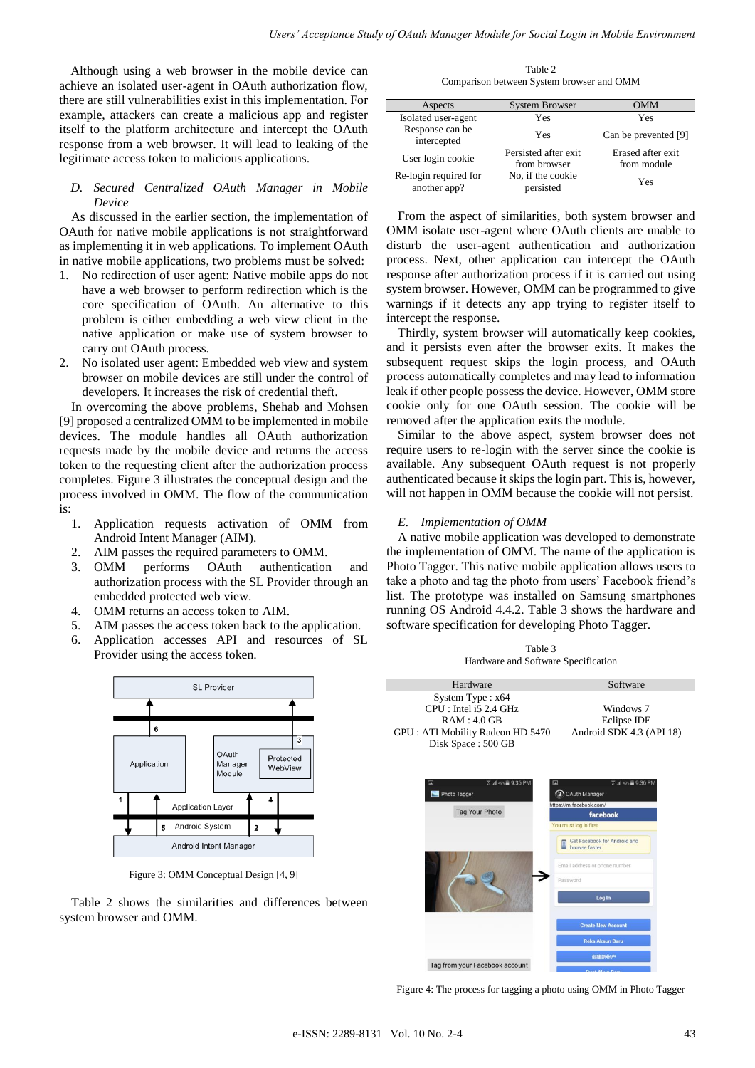Although using a web browser in the mobile device can achieve an isolated user-agent in OAuth authorization flow, there are still vulnerabilities exist in this implementation. For example, attackers can create a malicious app and register itself to the platform architecture and intercept the OAuth response from a web browser. It will lead to leaking of the legitimate access token to malicious applications.

## *D. Secured Centralized OAuth Manager in Mobile Device*

As discussed in the earlier section, the implementation of OAuth for native mobile applications is not straightforward as implementing it in web applications. To implement OAuth in native mobile applications, two problems must be solved:

- 1. No redirection of user agent: Native mobile apps do not have a web browser to perform redirection which is the core specification of OAuth. An alternative to this problem is either embedding a web view client in the native application or make use of system browser to carry out OAuth process.
- 2. No isolated user agent: Embedded web view and system browser on mobile devices are still under the control of developers. It increases the risk of credential theft.

In overcoming the above problems, Shehab and Mohsen [9] proposed a centralized OMM to be implemented in mobile devices. The module handles all OAuth authorization requests made by the mobile device and returns the access token to the requesting client after the authorization process completes. Figure 3 illustrates the conceptual design and the process involved in OMM. The flow of the communication is:

- 1. Application requests activation of OMM from Android Intent Manager (AIM).
- 2. AIM passes the required parameters to OMM.
- 3. OMM performs OAuth authentication and authorization process with the SL Provider through an embedded protected web view.
- 4. OMM returns an access token to AIM.
- 5. AIM passes the access token back to the application.
- 6. Application accesses API and resources of SL Provider using the access token.



Figure 3: OMM Conceptual Design [4, 9]

Table 2 shows the similarities and differences between system browser and OMM.

Table 2 Comparison between System browser and OMM

| Aspects                               | <b>System Browser</b>                 | OMM                               |
|---------------------------------------|---------------------------------------|-----------------------------------|
| Isolated user-agent                   | Yes                                   | Yes                               |
| Response can be<br>intercepted        | Yes                                   | Can be prevented [9]              |
| User login cookie                     | Persisted after exit.<br>from browser | Erased after exit.<br>from module |
| Re-login required for<br>another app? | No, if the cookie<br>persisted        | Yes                               |

From the aspect of similarities, both system browser and OMM isolate user-agent where OAuth clients are unable to disturb the user-agent authentication and authorization process. Next, other application can intercept the OAuth response after authorization process if it is carried out using system browser. However, OMM can be programmed to give warnings if it detects any app trying to register itself to intercept the response.

Thirdly, system browser will automatically keep cookies, and it persists even after the browser exits. It makes the subsequent request skips the login process, and OAuth process automatically completes and may lead to information leak if other people possess the device. However, OMM store cookie only for one OAuth session. The cookie will be removed after the application exits the module.

Similar to the above aspect, system browser does not require users to re-login with the server since the cookie is available. Any subsequent OAuth request is not properly authenticated because it skips the login part. This is, however, will not happen in OMM because the cookie will not persist.

## *E. Implementation of OMM*

A native mobile application was developed to demonstrate the implementation of OMM. The name of the application is Photo Tagger. This native mobile application allows users to take a photo and tag the photo from users' Facebook friend's list. The prototype was installed on Samsung smartphones running OS Android 4.4.2. Table 3 shows the hardware and software specification for developing Photo Tagger.

| Table 3                             |
|-------------------------------------|
| Hardware and Software Specification |



Figure 4: The process for tagging a photo using OMM in Photo Tagger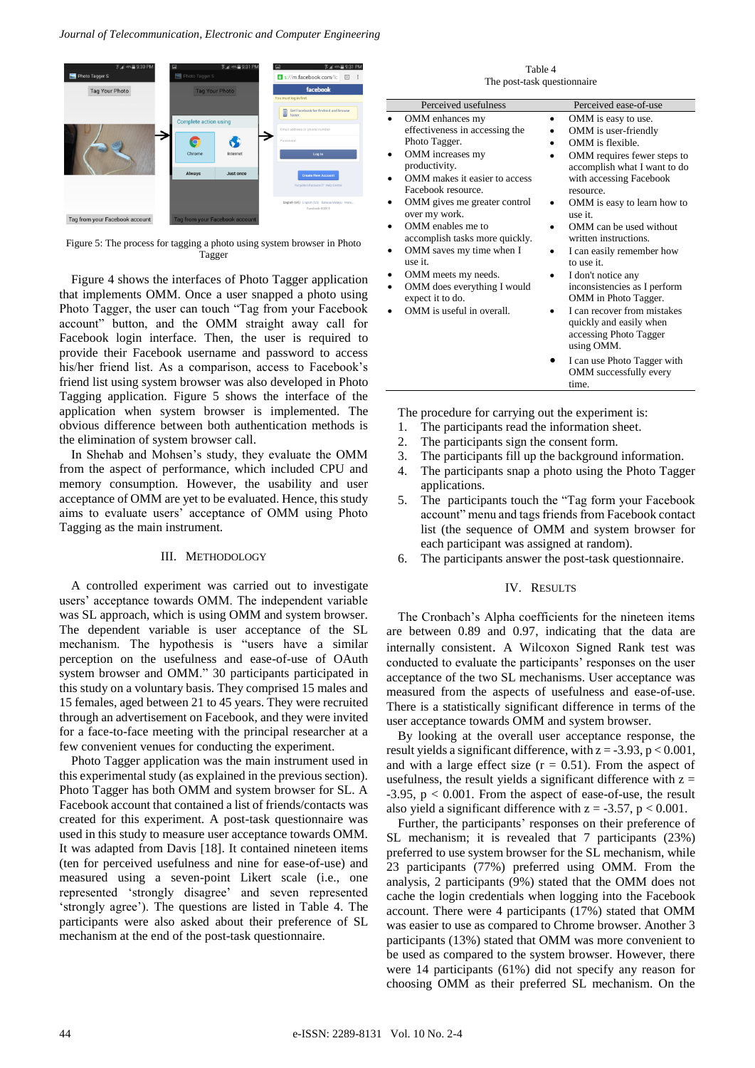

Figure 5: The process for tagging a photo using system browser in Photo Tagger

Figure 4 shows the interfaces of Photo Tagger application that implements OMM. Once a user snapped a photo using Photo Tagger, the user can touch "Tag from your Facebook account" button, and the OMM straight away call for Facebook login interface. Then, the user is required to provide their Facebook username and password to access his/her friend list. As a comparison, access to Facebook's friend list using system browser was also developed in Photo Tagging application. Figure 5 shows the interface of the application when system browser is implemented. The obvious difference between both authentication methods is the elimination of system browser call.

In Shehab and Mohsen's study, they evaluate the OMM from the aspect of performance, which included CPU and memory consumption. However, the usability and user acceptance of OMM are yet to be evaluated. Hence, this study aims to evaluate users' acceptance of OMM using Photo Tagging as the main instrument.

### III. METHODOLOGY

A controlled experiment was carried out to investigate users' acceptance towards OMM. The independent variable was SL approach, which is using OMM and system browser. The dependent variable is user acceptance of the SL mechanism. The hypothesis is "users have a similar perception on the usefulness and ease-of-use of OAuth system browser and OMM." 30 participants participated in this study on a voluntary basis. They comprised 15 males and 15 females, aged between 21 to 45 years. They were recruited through an advertisement on Facebook, and they were invited for a face-to-face meeting with the principal researcher at a few convenient venues for conducting the experiment.

Photo Tagger application was the main instrument used in this experimental study (as explained in the previous section). Photo Tagger has both OMM and system browser for SL. A Facebook account that contained a list of friends/contacts was created for this experiment. A post-task questionnaire was used in this study to measure user acceptance towards OMM. It was adapted from Davis [18]. It contained nineteen items (ten for perceived usefulness and nine for ease-of-use) and measured using a seven-point Likert scale (i.e., one represented 'strongly disagree' and seven represented 'strongly agree'). The questions are listed in Table 4. The participants were also asked about their preference of SL mechanism at the end of the post-task questionnaire.

| Perceived usefulness<br>Perceived ease-of-use<br>OMM enhances my<br>OMM is easy to use.<br>effectiveness in accessing the<br>OMM is user-friendly<br>Photo Tagger.<br>OMM is flexible.<br>OMM increases my<br>productivity.<br>OMM makes it easier to access<br>with accessing Facebook<br>٠<br>Facebook resource.<br>resource.<br>OMM gives me greater control<br>٠<br>over my work.<br>use it.<br>OMM enables me to<br>OMM can be used without<br>٠  | The post-task questionnaire    |                                                                                                                     |  |  |  |
|--------------------------------------------------------------------------------------------------------------------------------------------------------------------------------------------------------------------------------------------------------------------------------------------------------------------------------------------------------------------------------------------------------------------------------------------------------|--------------------------------|---------------------------------------------------------------------------------------------------------------------|--|--|--|
|                                                                                                                                                                                                                                                                                                                                                                                                                                                        |                                |                                                                                                                     |  |  |  |
| OMM saves my time when I<br>I can easily remember how<br>٠<br>use it.<br>to use it.<br>OMM meets my needs.<br>I don't notice any<br>٠<br>inconsistencies as I perform<br>OMM does everything I would<br>٠<br>expect it to do.<br>OMM in Photo Tagger.<br>OMM is useful in overall.<br>I can recover from mistakes<br>quickly and easily when<br>accessing Photo Tagger<br>using OMM.<br>I can use Photo Tagger with<br>OMM successfully every<br>time. | accomplish tasks more quickly. | OMM requires fewer steps to<br>accomplish what I want to do<br>OMM is easy to learn how to<br>written instructions. |  |  |  |

Table 4

The procedure for carrying out the experiment is:

- 1. The participants read the information sheet.
- 2. The participants sign the consent form.
- 3. The participants fill up the background information.
- 4. The participants snap a photo using the Photo Tagger applications.
- 5. The participants touch the "Tag form your Facebook account" menu and tags friends from Facebook contact list (the sequence of OMM and system browser for each participant was assigned at random).
- 6. The participants answer the post-task questionnaire.

## IV. RESULTS

The Cronbach's Alpha coefficients for the nineteen items are between 0.89 and 0.97, indicating that the data are internally consistent. A Wilcoxon Signed Rank test was conducted to evaluate the participants' responses on the user acceptance of the two SL mechanisms. User acceptance was measured from the aspects of usefulness and ease-of-use. There is a statistically significant difference in terms of the user acceptance towards OMM and system browser.

By looking at the overall user acceptance response, the result yields a significant difference, with  $z = -3.93$ ,  $p < 0.001$ , and with a large effect size  $(r = 0.51)$ . From the aspect of usefulness, the result yields a significant difference with  $z =$  $-3.95$ ,  $p < 0.001$ . From the aspect of ease-of-use, the result also yield a significant difference with  $z = -3.57$ ,  $p < 0.001$ .

Further, the participants' responses on their preference of SL mechanism; it is revealed that 7 participants (23%) preferred to use system browser for the SL mechanism, while 23 participants (77%) preferred using OMM. From the analysis, 2 participants (9%) stated that the OMM does not cache the login credentials when logging into the Facebook account. There were 4 participants (17%) stated that OMM was easier to use as compared to Chrome browser. Another 3 participants (13%) stated that OMM was more convenient to be used as compared to the system browser. However, there were 14 participants (61%) did not specify any reason for choosing OMM as their preferred SL mechanism. On the